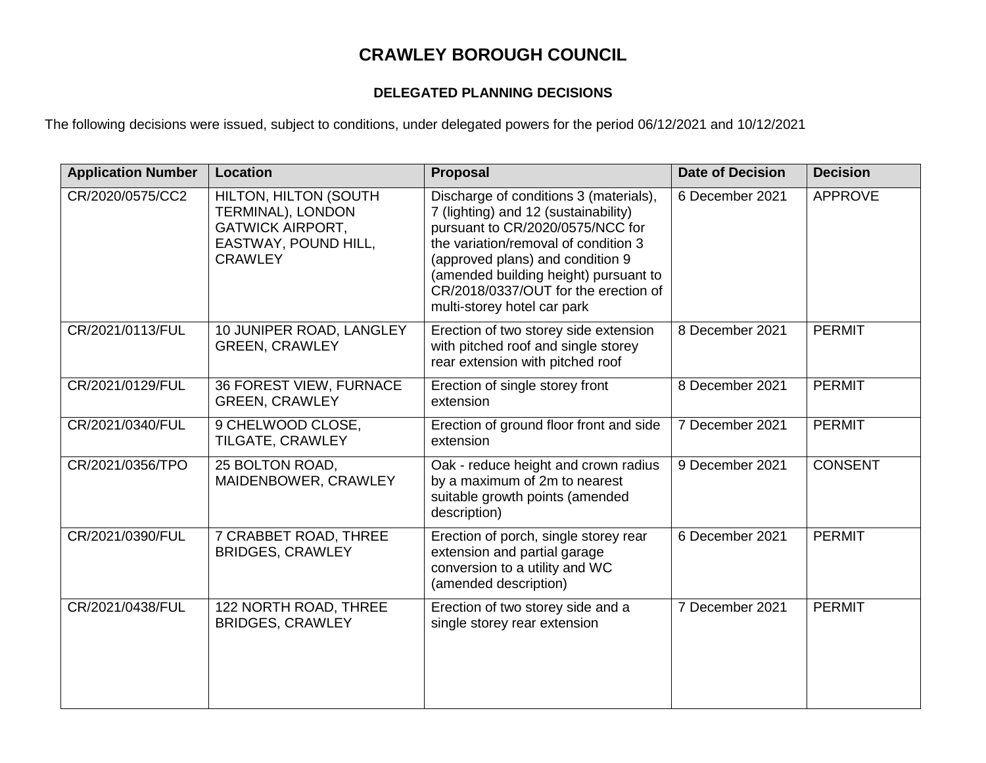## **CRAWLEY BOROUGH COUNCIL**

## **DELEGATED PLANNING DECISIONS**

The following decisions were issued, subject to conditions, under delegated powers for the period 06/12/2021 and 10/12/2021

| <b>Application Number</b> | Location                                                                                                               | <b>Proposal</b>                                                                                                                                                                                                                                                                                                | <b>Date of Decision</b> | <b>Decision</b> |
|---------------------------|------------------------------------------------------------------------------------------------------------------------|----------------------------------------------------------------------------------------------------------------------------------------------------------------------------------------------------------------------------------------------------------------------------------------------------------------|-------------------------|-----------------|
| CR/2020/0575/CC2          | <b>HILTON, HILTON (SOUTH</b><br>TERMINAL), LONDON<br><b>GATWICK AIRPORT,</b><br>EASTWAY, POUND HILL,<br><b>CRAWLEY</b> | Discharge of conditions 3 (materials),<br>7 (lighting) and 12 (sustainability)<br>pursuant to CR/2020/0575/NCC for<br>the variation/removal of condition 3<br>(approved plans) and condition 9<br>(amended building height) pursuant to<br>CR/2018/0337/OUT for the erection of<br>multi-storey hotel car park | 6 December 2021         | <b>APPROVE</b>  |
| CR/2021/0113/FUL          | 10 JUNIPER ROAD, LANGLEY<br><b>GREEN, CRAWLEY</b>                                                                      | Erection of two storey side extension<br>with pitched roof and single storey<br>rear extension with pitched roof                                                                                                                                                                                               | 8 December 2021         | <b>PERMIT</b>   |
| CR/2021/0129/FUL          | 36 FOREST VIEW, FURNACE<br><b>GREEN, CRAWLEY</b>                                                                       | Erection of single storey front<br>extension                                                                                                                                                                                                                                                                   | 8 December 2021         | <b>PERMIT</b>   |
| CR/2021/0340/FUL          | 9 CHELWOOD CLOSE,<br>TILGATE, CRAWLEY                                                                                  | Erection of ground floor front and side<br>extension                                                                                                                                                                                                                                                           | 7 December 2021         | <b>PERMIT</b>   |
| CR/2021/0356/TPO          | 25 BOLTON ROAD,<br>MAIDENBOWER, CRAWLEY                                                                                | Oak - reduce height and crown radius<br>by a maximum of 2m to nearest<br>suitable growth points (amended<br>description)                                                                                                                                                                                       | 9 December 2021         | <b>CONSENT</b>  |
| CR/2021/0390/FUL          | 7 CRABBET ROAD, THREE<br><b>BRIDGES, CRAWLEY</b>                                                                       | Erection of porch, single storey rear<br>extension and partial garage<br>conversion to a utility and WC<br>(amended description)                                                                                                                                                                               | 6 December 2021         | <b>PERMIT</b>   |
| CR/2021/0438/FUL          | 122 NORTH ROAD, THREE<br><b>BRIDGES, CRAWLEY</b>                                                                       | Erection of two storey side and a<br>single storey rear extension                                                                                                                                                                                                                                              | 7 December 2021         | <b>PERMIT</b>   |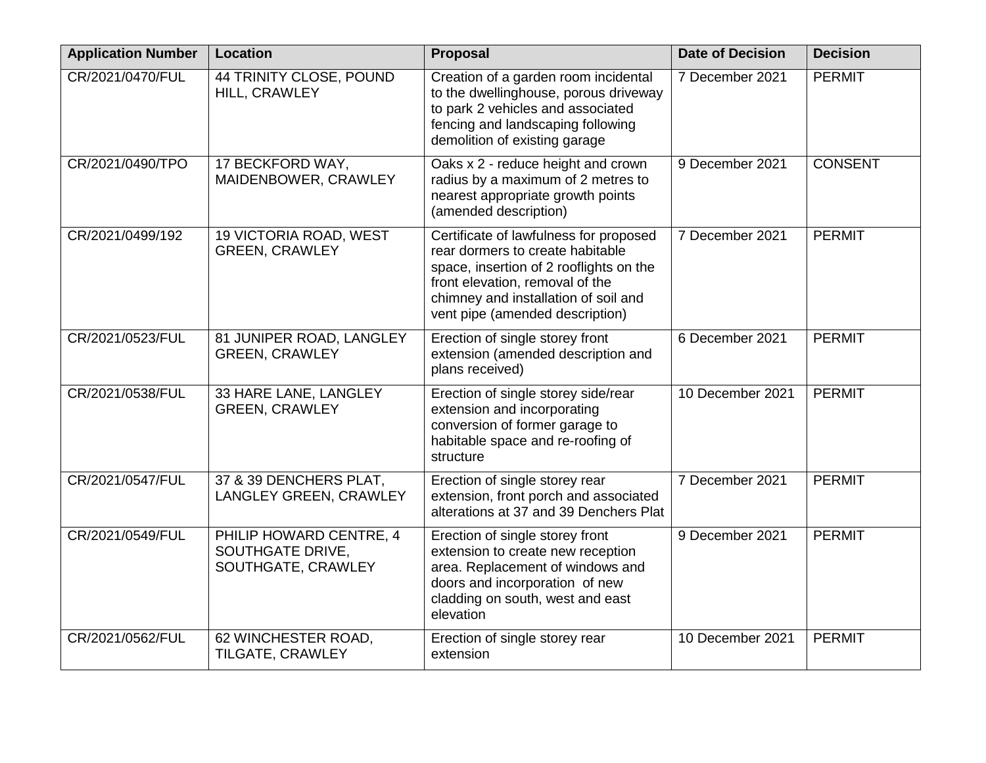| <b>Application Number</b> | <b>Location</b>                                                   | Proposal                                                                                                                                                                                                                            | <b>Date of Decision</b> | <b>Decision</b> |
|---------------------------|-------------------------------------------------------------------|-------------------------------------------------------------------------------------------------------------------------------------------------------------------------------------------------------------------------------------|-------------------------|-----------------|
| CR/2021/0470/FUL          | 44 TRINITY CLOSE, POUND<br>HILL, CRAWLEY                          | Creation of a garden room incidental<br>to the dwellinghouse, porous driveway<br>to park 2 vehicles and associated<br>fencing and landscaping following<br>demolition of existing garage                                            | 7 December 2021         | <b>PERMIT</b>   |
| CR/2021/0490/TPO          | 17 BECKFORD WAY,<br>MAIDENBOWER, CRAWLEY                          | Oaks x 2 - reduce height and crown<br>radius by a maximum of 2 metres to<br>nearest appropriate growth points<br>(amended description)                                                                                              | 9 December 2021         | <b>CONSENT</b>  |
| CR/2021/0499/192          | 19 VICTORIA ROAD, WEST<br><b>GREEN, CRAWLEY</b>                   | Certificate of lawfulness for proposed<br>rear dormers to create habitable<br>space, insertion of 2 rooflights on the<br>front elevation, removal of the<br>chimney and installation of soil and<br>vent pipe (amended description) | 7 December 2021         | <b>PERMIT</b>   |
| CR/2021/0523/FUL          | 81 JUNIPER ROAD, LANGLEY<br><b>GREEN, CRAWLEY</b>                 | Erection of single storey front<br>extension (amended description and<br>plans received)                                                                                                                                            | 6 December 2021         | <b>PERMIT</b>   |
| CR/2021/0538/FUL          | 33 HARE LANE, LANGLEY<br><b>GREEN, CRAWLEY</b>                    | Erection of single storey side/rear<br>extension and incorporating<br>conversion of former garage to<br>habitable space and re-roofing of<br>structure                                                                              | 10 December 2021        | <b>PERMIT</b>   |
| CR/2021/0547/FUL          | 37 & 39 DENCHERS PLAT,<br>LANGLEY GREEN, CRAWLEY                  | Erection of single storey rear<br>extension, front porch and associated<br>alterations at 37 and 39 Denchers Plat                                                                                                                   | 7 December 2021         | <b>PERMIT</b>   |
| CR/2021/0549/FUL          | PHILIP HOWARD CENTRE, 4<br>SOUTHGATE DRIVE,<br>SOUTHGATE, CRAWLEY | Erection of single storey front<br>extension to create new reception<br>area. Replacement of windows and<br>doors and incorporation of new<br>cladding on south, west and east<br>elevation                                         | 9 December 2021         | <b>PERMIT</b>   |
| CR/2021/0562/FUL          | 62 WINCHESTER ROAD,<br>TILGATE, CRAWLEY                           | Erection of single storey rear<br>extension                                                                                                                                                                                         | 10 December 2021        | <b>PERMIT</b>   |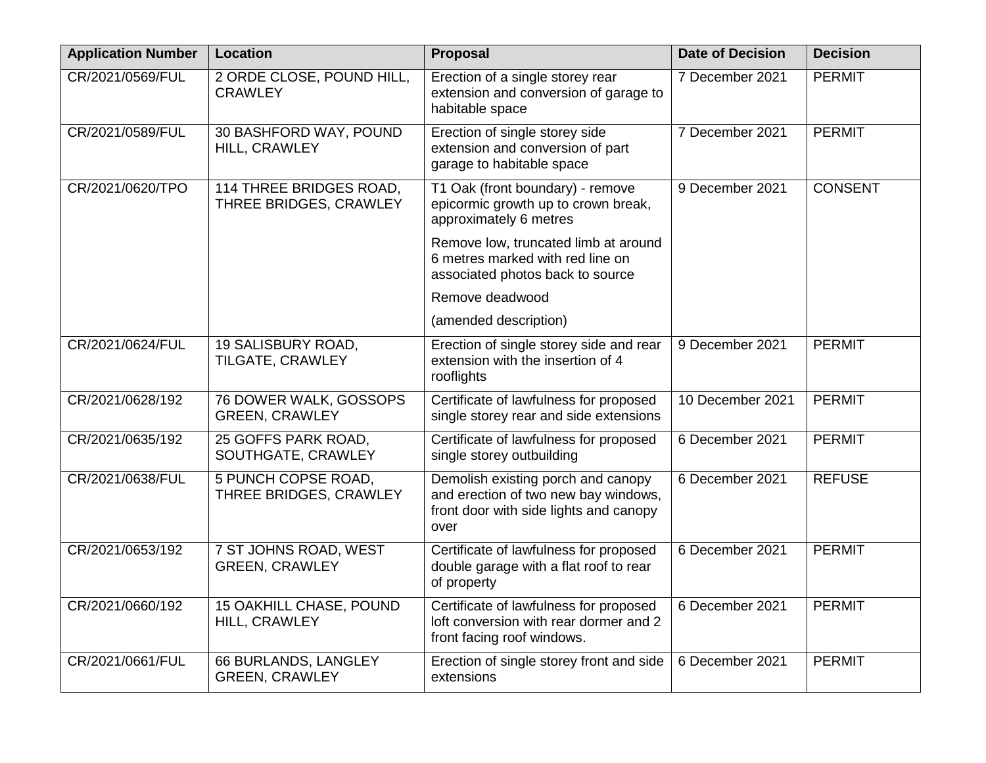| <b>Application Number</b> | <b>Location</b>                                   | Proposal                                                                                                                     | <b>Date of Decision</b> | <b>Decision</b> |
|---------------------------|---------------------------------------------------|------------------------------------------------------------------------------------------------------------------------------|-------------------------|-----------------|
| CR/2021/0569/FUL          | 2 ORDE CLOSE, POUND HILL,<br><b>CRAWLEY</b>       | Erection of a single storey rear<br>extension and conversion of garage to<br>habitable space                                 | 7 December 2021         | <b>PERMIT</b>   |
| CR/2021/0589/FUL          | 30 BASHFORD WAY, POUND<br>HILL, CRAWLEY           | Erection of single storey side<br>extension and conversion of part<br>garage to habitable space                              | 7 December 2021         | <b>PERMIT</b>   |
| CR/2021/0620/TPO          | 114 THREE BRIDGES ROAD,<br>THREE BRIDGES, CRAWLEY | T1 Oak (front boundary) - remove<br>epicormic growth up to crown break,<br>approximately 6 metres                            | 9 December 2021         | <b>CONSENT</b>  |
|                           |                                                   | Remove low, truncated limb at around<br>6 metres marked with red line on<br>associated photos back to source                 |                         |                 |
|                           |                                                   | Remove deadwood                                                                                                              |                         |                 |
|                           |                                                   | (amended description)                                                                                                        |                         |                 |
| CR/2021/0624/FUL          | 19 SALISBURY ROAD,<br>TILGATE, CRAWLEY            | Erection of single storey side and rear<br>extension with the insertion of 4<br>rooflights                                   | 9 December 2021         | <b>PERMIT</b>   |
| CR/2021/0628/192          | 76 DOWER WALK, GOSSOPS<br><b>GREEN, CRAWLEY</b>   | Certificate of lawfulness for proposed<br>single storey rear and side extensions                                             | 10 December 2021        | <b>PERMIT</b>   |
| CR/2021/0635/192          | 25 GOFFS PARK ROAD,<br>SOUTHGATE, CRAWLEY         | Certificate of lawfulness for proposed<br>single storey outbuilding                                                          | 6 December 2021         | <b>PERMIT</b>   |
| CR/2021/0638/FUL          | 5 PUNCH COPSE ROAD,<br>THREE BRIDGES, CRAWLEY     | Demolish existing porch and canopy<br>and erection of two new bay windows,<br>front door with side lights and canopy<br>over | 6 December 2021         | <b>REFUSE</b>   |
| CR/2021/0653/192          | 7 ST JOHNS ROAD, WEST<br><b>GREEN, CRAWLEY</b>    | Certificate of lawfulness for proposed<br>double garage with a flat roof to rear<br>of property                              | 6 December 2021         | <b>PERMIT</b>   |
| CR/2021/0660/192          | 15 OAKHILL CHASE, POUND<br>HILL, CRAWLEY          | Certificate of lawfulness for proposed<br>loft conversion with rear dormer and 2<br>front facing roof windows.               | 6 December 2021         | <b>PERMIT</b>   |
| CR/2021/0661/FUL          | 66 BURLANDS, LANGLEY<br><b>GREEN, CRAWLEY</b>     | Erection of single storey front and side<br>extensions                                                                       | 6 December 2021         | <b>PERMIT</b>   |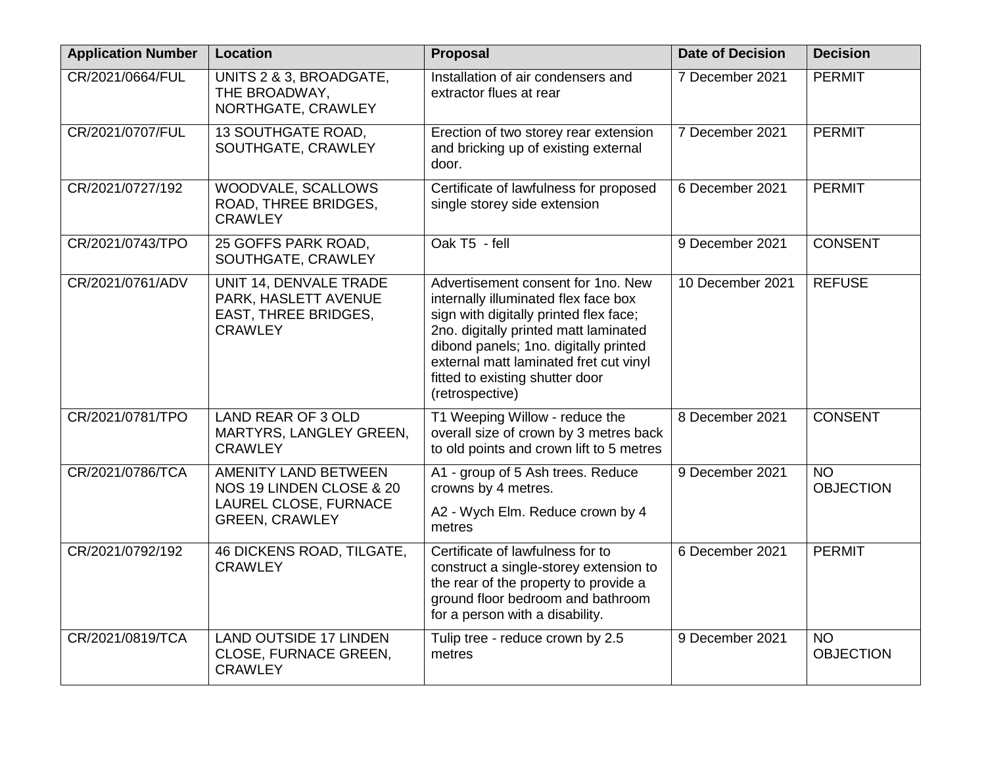| <b>Application Number</b> | <b>Location</b>                                                                                           | Proposal                                                                                                                                                                                                                                                                                               | <b>Date of Decision</b> | <b>Decision</b>               |
|---------------------------|-----------------------------------------------------------------------------------------------------------|--------------------------------------------------------------------------------------------------------------------------------------------------------------------------------------------------------------------------------------------------------------------------------------------------------|-------------------------|-------------------------------|
| CR/2021/0664/FUL          | UNITS 2 & 3, BROADGATE,<br>THE BROADWAY,<br>NORTHGATE, CRAWLEY                                            | Installation of air condensers and<br>extractor flues at rear                                                                                                                                                                                                                                          | 7 December 2021         | <b>PERMIT</b>                 |
| CR/2021/0707/FUL          | 13 SOUTHGATE ROAD,<br>SOUTHGATE, CRAWLEY                                                                  | Erection of two storey rear extension<br>and bricking up of existing external<br>door.                                                                                                                                                                                                                 | 7 December 2021         | <b>PERMIT</b>                 |
| CR/2021/0727/192          | WOODVALE, SCALLOWS<br>ROAD, THREE BRIDGES,<br><b>CRAWLEY</b>                                              | Certificate of lawfulness for proposed<br>single storey side extension                                                                                                                                                                                                                                 | 6 December 2021         | <b>PERMIT</b>                 |
| CR/2021/0743/TPO          | 25 GOFFS PARK ROAD,<br>SOUTHGATE, CRAWLEY                                                                 | Oak T5 - fell                                                                                                                                                                                                                                                                                          | 9 December 2021         | <b>CONSENT</b>                |
| CR/2021/0761/ADV          | UNIT 14, DENVALE TRADE<br>PARK, HASLETT AVENUE<br>EAST, THREE BRIDGES,<br><b>CRAWLEY</b>                  | Advertisement consent for 1no. New<br>internally illuminated flex face box<br>sign with digitally printed flex face;<br>2no. digitally printed matt laminated<br>dibond panels; 1no. digitally printed<br>external matt laminated fret cut vinyl<br>fitted to existing shutter door<br>(retrospective) | 10 December 2021        | <b>REFUSE</b>                 |
| CR/2021/0781/TPO          | <b>LAND REAR OF 3 OLD</b><br>MARTYRS, LANGLEY GREEN,<br><b>CRAWLEY</b>                                    | T1 Weeping Willow - reduce the<br>overall size of crown by 3 metres back<br>to old points and crown lift to 5 metres                                                                                                                                                                                   | 8 December 2021         | <b>CONSENT</b>                |
| CR/2021/0786/TCA          | <b>AMENITY LAND BETWEEN</b><br>NOS 19 LINDEN CLOSE & 20<br>LAUREL CLOSE, FURNACE<br><b>GREEN, CRAWLEY</b> | A1 - group of 5 Ash trees. Reduce<br>crowns by 4 metres.<br>A2 - Wych Elm. Reduce crown by 4<br>metres                                                                                                                                                                                                 | 9 December 2021         | <b>NO</b><br><b>OBJECTION</b> |
| CR/2021/0792/192          | 46 DICKENS ROAD, TILGATE,<br><b>CRAWLEY</b>                                                               | Certificate of lawfulness for to<br>construct a single-storey extension to<br>the rear of the property to provide a<br>ground floor bedroom and bathroom<br>for a person with a disability.                                                                                                            | 6 December 2021         | <b>PERMIT</b>                 |
| CR/2021/0819/TCA          | <b>LAND OUTSIDE 17 LINDEN</b><br>CLOSE, FURNACE GREEN,<br><b>CRAWLEY</b>                                  | Tulip tree - reduce crown by 2.5<br>metres                                                                                                                                                                                                                                                             | 9 December 2021         | <b>NO</b><br><b>OBJECTION</b> |